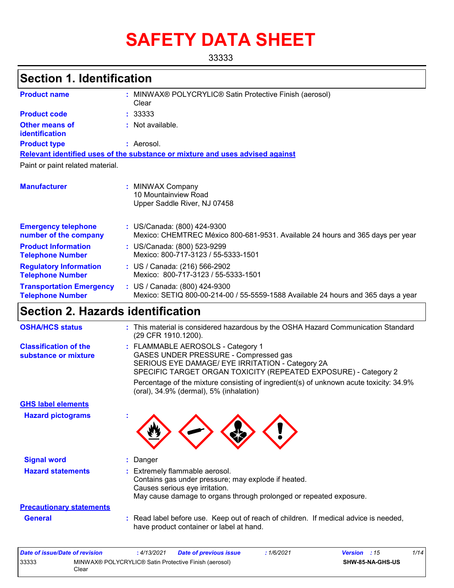# **SAFETY DATA SHEET**

33333

# **Section 1. Identification**

| <b>Product name</b>                                        | t. | MINWAX® POLYCRYLIC® Satin Protective Finish (aerosol)<br>Clear                                                     |
|------------------------------------------------------------|----|--------------------------------------------------------------------------------------------------------------------|
| <b>Product code</b>                                        |    | : 33333                                                                                                            |
| <b>Other means of</b><br>identification                    |    | : Not available.                                                                                                   |
| <b>Product type</b>                                        |    | : Aerosol.                                                                                                         |
|                                                            |    | Relevant identified uses of the substance or mixture and uses advised against                                      |
| Paint or paint related material.                           |    |                                                                                                                    |
| <b>Manufacturer</b>                                        |    | <b>MINWAX Company</b><br>10 Mountainview Road<br>Upper Saddle River, NJ 07458                                      |
| <b>Emergency telephone</b><br>number of the company        |    | : US/Canada: (800) 424-9300<br>Mexico: CHEMTREC México 800-681-9531. Available 24 hours and 365 days per year      |
| <b>Product Information</b><br><b>Telephone Number</b>      |    | : US/Canada: (800) 523-9299<br>Mexico: 800-717-3123 / 55-5333-1501                                                 |
| <b>Regulatory Information</b><br><b>Telephone Number</b>   |    | : US / Canada: (216) 566-2902<br>Mexico: 800-717-3123 / 55-5333-1501                                               |
| <b>Transportation Emergency</b><br><b>Telephone Number</b> |    | : US / Canada: (800) 424-9300<br>Mexico: SETIQ 800-00-214-00 / 55-5559-1588 Available 24 hours and 365 days a year |

# **Section 2. Hazards identification**

| <b>OSHA/HCS status</b>                               | : This material is considered hazardous by the OSHA Hazard Communication Standard<br>(29 CFR 1910.1200).                                                                                          |
|------------------------------------------------------|---------------------------------------------------------------------------------------------------------------------------------------------------------------------------------------------------|
| <b>Classification of the</b><br>substance or mixture | : FLAMMABLE AEROSOLS - Category 1<br>GASES UNDER PRESSURE - Compressed gas<br>SERIOUS EYE DAMAGE/ EYE IRRITATION - Category 2A<br>SPECIFIC TARGET ORGAN TOXICITY (REPEATED EXPOSURE) - Category 2 |
|                                                      | Percentage of the mixture consisting of ingredient(s) of unknown acute toxicity: 34.9%<br>(oral), 34.9% (dermal), 5% (inhalation)                                                                 |
| <b>GHS label elements</b>                            |                                                                                                                                                                                                   |
| <b>Hazard pictograms</b>                             |                                                                                                                                                                                                   |
| <b>Signal word</b>                                   | Danger                                                                                                                                                                                            |
| <b>Hazard statements</b>                             | : Extremely flammable aerosol.<br>Contains gas under pressure; may explode if heated.<br>Causes serious eye irritation.<br>May cause damage to organs through prolonged or repeated exposure.     |
| <b>Precautionary statements</b>                      |                                                                                                                                                                                                   |
| <b>General</b>                                       | : Read label before use. Keep out of reach of children. If medical advice is needed,<br>have product container or label at hand.                                                                  |
|                                                      |                                                                                                                                                                                                   |

| Date of issue/Date of revision |                                                                | : 4/13/2021 | <b>Date of previous issue</b> | 1/6/2021 | <b>Version</b> : 15 |                         | 1/14 |
|--------------------------------|----------------------------------------------------------------|-------------|-------------------------------|----------|---------------------|-------------------------|------|
| 33333                          | MINWAX® POLYCRYLIC® Satin Protective Finish (aerosol)<br>Clear |             |                               |          |                     | <b>SHW-85-NA-GHS-US</b> |      |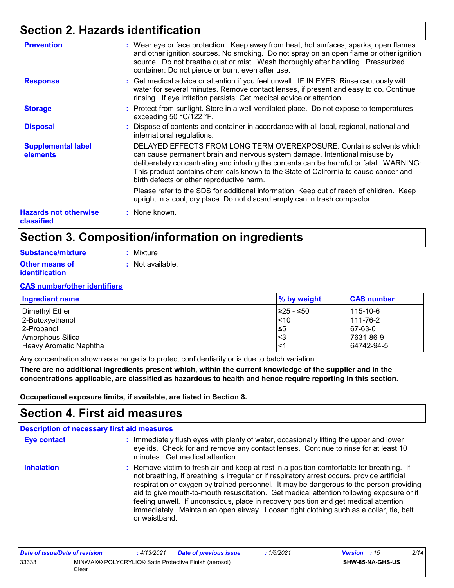### **Section 2. Hazards identification**

| <b>Prevention</b>                          | : Wear eye or face protection. Keep away from heat, hot surfaces, sparks, open flames<br>and other ignition sources. No smoking. Do not spray on an open flame or other ignition<br>source. Do not breathe dust or mist. Wash thoroughly after handling. Pressurized<br>container: Do not pierce or burn, even after use.                                                         |
|--------------------------------------------|-----------------------------------------------------------------------------------------------------------------------------------------------------------------------------------------------------------------------------------------------------------------------------------------------------------------------------------------------------------------------------------|
| <b>Response</b>                            | : Get medical advice or attention if you feel unwell. IF IN EYES: Rinse cautiously with<br>water for several minutes. Remove contact lenses, if present and easy to do. Continue<br>rinsing. If eye irritation persists: Get medical advice or attention.                                                                                                                         |
| <b>Storage</b>                             | : Protect from sunlight. Store in a well-ventilated place. Do not expose to temperatures<br>exceeding 50 °C/122 °F.                                                                                                                                                                                                                                                               |
| <b>Disposal</b>                            | : Dispose of contents and container in accordance with all local, regional, national and<br>international regulations.                                                                                                                                                                                                                                                            |
| <b>Supplemental label</b><br>elements      | DELAYED EFFECTS FROM LONG TERM OVEREXPOSURE. Contains solvents which<br>can cause permanent brain and nervous system damage. Intentional misuse by<br>deliberately concentrating and inhaling the contents can be harmful or fatal. WARNING:<br>This product contains chemicals known to the State of California to cause cancer and<br>birth defects or other reproductive harm. |
|                                            | Please refer to the SDS for additional information. Keep out of reach of children. Keep<br>upright in a cool, dry place. Do not discard empty can in trash compactor.                                                                                                                                                                                                             |
| <b>Hazards not otherwise</b><br>classified | : None known.                                                                                                                                                                                                                                                                                                                                                                     |

### **Section 3. Composition/information on ingredients**

| Substance/mixture     | : Mixture          |
|-----------------------|--------------------|
| <b>Other means of</b> | $:$ Not available. |
| <b>identification</b> |                    |

#### **CAS number/other identifiers**

| Ingredient name        | $\%$ by weight | <b>CAS number</b> |
|------------------------|----------------|-------------------|
| Dimethyl Ether         | I≥25 - ≤50     | 115-10-6          |
| 2-Butoxyethanol        | $ $ < 10       | 111-76-2          |
| 2-Propanol             | 5≥ا            | 67-63-0           |
| Amorphous Silica       | 3≥ا            | 7631-86-9         |
| Heavy Aromatic Naphtha | ≺1             | 64742-94-5        |

Any concentration shown as a range is to protect confidentiality or is due to batch variation.

**There are no additional ingredients present which, within the current knowledge of the supplier and in the concentrations applicable, are classified as hazardous to health and hence require reporting in this section.**

**Occupational exposure limits, if available, are listed in Section 8.**

### **Section 4. First aid measures**

|                    | <b>Description of necessary first aid measures</b>                                                                                                                                                                                                                                                                                                                                                                                                                                                                                                                                   |
|--------------------|--------------------------------------------------------------------------------------------------------------------------------------------------------------------------------------------------------------------------------------------------------------------------------------------------------------------------------------------------------------------------------------------------------------------------------------------------------------------------------------------------------------------------------------------------------------------------------------|
| <b>Eye contact</b> | : Immediately flush eyes with plenty of water, occasionally lifting the upper and lower<br>eyelids. Check for and remove any contact lenses. Continue to rinse for at least 10<br>minutes. Get medical attention.                                                                                                                                                                                                                                                                                                                                                                    |
| <b>Inhalation</b>  | : Remove victim to fresh air and keep at rest in a position comfortable for breathing. If<br>not breathing, if breathing is irregular or if respiratory arrest occurs, provide artificial<br>respiration or oxygen by trained personnel. It may be dangerous to the person providing<br>aid to give mouth-to-mouth resuscitation. Get medical attention following exposure or if<br>feeling unwell. If unconscious, place in recovery position and get medical attention<br>immediately. Maintain an open airway. Loosen tight clothing such as a collar, tie, belt<br>or waistband. |

| Date of issue/Date of revision                                          |  | : 4/13/2021 | <b>Date of previous issue</b> | 1/6/2021                | <b>Version</b> : 15 | 2/14 |
|-------------------------------------------------------------------------|--|-------------|-------------------------------|-------------------------|---------------------|------|
| 33333<br>MINWAX® POLYCRYLIC® Satin Protective Finish (aerosol)<br>Clear |  |             |                               | <b>SHW-85-NA-GHS-US</b> |                     |      |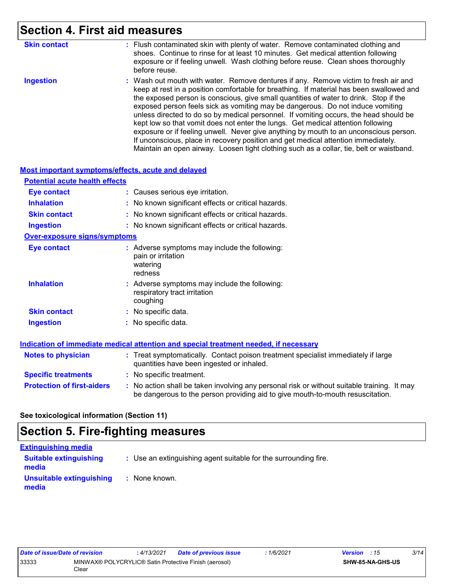### **Section 4. First aid measures**

| <b>Skin contact</b> | : Flush contaminated skin with plenty of water. Remove contaminated clothing and<br>shoes. Continue to rinse for at least 10 minutes. Get medical attention following<br>exposure or if feeling unwell. Wash clothing before reuse. Clean shoes thoroughly<br>before reuse.                                                                                                                                                                                                                                                                                                                                                                                                                                                                                                                                       |
|---------------------|-------------------------------------------------------------------------------------------------------------------------------------------------------------------------------------------------------------------------------------------------------------------------------------------------------------------------------------------------------------------------------------------------------------------------------------------------------------------------------------------------------------------------------------------------------------------------------------------------------------------------------------------------------------------------------------------------------------------------------------------------------------------------------------------------------------------|
| <b>Ingestion</b>    | : Wash out mouth with water. Remove dentures if any. Remove victim to fresh air and<br>keep at rest in a position comfortable for breathing. If material has been swallowed and<br>the exposed person is conscious, give small quantities of water to drink. Stop if the<br>exposed person feels sick as vomiting may be dangerous. Do not induce vomiting<br>unless directed to do so by medical personnel. If vomiting occurs, the head should be<br>kept low so that vomit does not enter the lungs. Get medical attention following<br>exposure or if feeling unwell. Never give anything by mouth to an unconscious person.<br>If unconscious, place in recovery position and get medical attention immediately.<br>Maintain an open airway. Loosen tight clothing such as a collar, tie, belt or waistband. |

#### **Most important symptoms/effects, acute and delayed**

| <b>Potential acute health effects</b> |                                                                                             |
|---------------------------------------|---------------------------------------------------------------------------------------------|
| <b>Eye contact</b>                    | : Causes serious eye irritation.                                                            |
| <b>Inhalation</b>                     | : No known significant effects or critical hazards.                                         |
| <b>Skin contact</b>                   | : No known significant effects or critical hazards.                                         |
| <b>Ingestion</b>                      | : No known significant effects or critical hazards.                                         |
| <b>Over-exposure signs/symptoms</b>   |                                                                                             |
| Eye contact                           | : Adverse symptoms may include the following:<br>pain or irritation<br>watering<br>redness  |
| <b>Inhalation</b>                     | : Adverse symptoms may include the following:<br>respiratory tract irritation<br>coughing   |
| <b>Skin contact</b>                   | : No specific data.                                                                         |
| <b>Ingestion</b>                      | $:$ No specific data.                                                                       |
|                                       | <b>Indication of immediate medical attention and special treatment needed, if necessary</b> |
| Notes to physician                    | . Treat symptomatically Contact poison treatment specialist immediately if large            |

| <b>Notes to physician</b>         | : Treat symptomatically. Contact poison treatment specialist immediately if large<br>quantities have been ingested or inhaled.                                                |
|-----------------------------------|-------------------------------------------------------------------------------------------------------------------------------------------------------------------------------|
| <b>Specific treatments</b>        | : No specific treatment.                                                                                                                                                      |
| <b>Protection of first-aiders</b> | : No action shall be taken involving any personal risk or without suitable training. It may<br>be dangerous to the person providing aid to give mouth-to-mouth resuscitation. |

#### **See toxicological information (Section 11)**

### **Section 5. Fire-fighting measures**

| <b>Extinguishing media</b>             |                                                                 |
|----------------------------------------|-----------------------------------------------------------------|
| <b>Suitable extinguishing</b><br>media | : Use an extinguishing agent suitable for the surrounding fire. |
| Unsuitable extinguishing<br>media      | : None known.                                                   |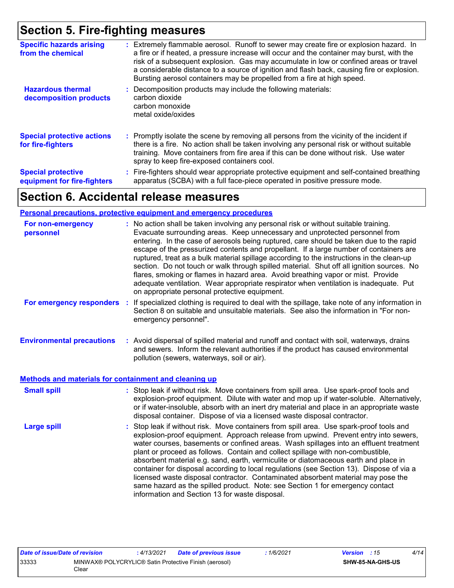### **Section 5. Fire-fighting measures**

| <b>Specific hazards arising</b><br>from the chemical     | Extremely flammable aerosol. Runoff to sewer may create fire or explosion hazard. In<br>a fire or if heated, a pressure increase will occur and the container may burst, with the<br>risk of a subsequent explosion. Gas may accumulate in low or confined areas or travel<br>a considerable distance to a source of ignition and flash back, causing fire or explosion.<br>Bursting aerosol containers may be propelled from a fire at high speed. |
|----------------------------------------------------------|-----------------------------------------------------------------------------------------------------------------------------------------------------------------------------------------------------------------------------------------------------------------------------------------------------------------------------------------------------------------------------------------------------------------------------------------------------|
| <b>Hazardous thermal</b><br>decomposition products       | Decomposition products may include the following materials:<br>carbon dioxide<br>carbon monoxide<br>metal oxide/oxides                                                                                                                                                                                                                                                                                                                              |
| <b>Special protective actions</b><br>for fire-fighters   | : Promptly isolate the scene by removing all persons from the vicinity of the incident if<br>there is a fire. No action shall be taken involving any personal risk or without suitable<br>training. Move containers from fire area if this can be done without risk. Use water<br>spray to keep fire-exposed containers cool.                                                                                                                       |
| <b>Special protective</b><br>equipment for fire-fighters | : Fire-fighters should wear appropriate protective equipment and self-contained breathing<br>apparatus (SCBA) with a full face-piece operated in positive pressure mode.                                                                                                                                                                                                                                                                            |

### **Section 6. Accidental release measures**

#### **Personal precautions, protective equipment and emergency procedures**

| For non-emergency<br>personnel                        | : No action shall be taken involving any personal risk or without suitable training.<br>Evacuate surrounding areas. Keep unnecessary and unprotected personnel from<br>entering. In the case of aerosols being ruptured, care should be taken due to the rapid<br>escape of the pressurized contents and propellant. If a large number of containers are<br>ruptured, treat as a bulk material spillage according to the instructions in the clean-up<br>section. Do not touch or walk through spilled material. Shut off all ignition sources. No<br>flares, smoking or flames in hazard area. Avoid breathing vapor or mist. Provide<br>adequate ventilation. Wear appropriate respirator when ventilation is inadequate. Put<br>on appropriate personal protective equipment. |
|-------------------------------------------------------|----------------------------------------------------------------------------------------------------------------------------------------------------------------------------------------------------------------------------------------------------------------------------------------------------------------------------------------------------------------------------------------------------------------------------------------------------------------------------------------------------------------------------------------------------------------------------------------------------------------------------------------------------------------------------------------------------------------------------------------------------------------------------------|
| For emergency responders                              | If specialized clothing is required to deal with the spillage, take note of any information in<br>Section 8 on suitable and unsuitable materials. See also the information in "For non-<br>emergency personnel".                                                                                                                                                                                                                                                                                                                                                                                                                                                                                                                                                                 |
| <b>Environmental precautions</b>                      | : Avoid dispersal of spilled material and runoff and contact with soil, waterways, drains<br>and sewers. Inform the relevant authorities if the product has caused environmental<br>pollution (sewers, waterways, soil or air).                                                                                                                                                                                                                                                                                                                                                                                                                                                                                                                                                  |
| Methods and materials for containment and cleaning up |                                                                                                                                                                                                                                                                                                                                                                                                                                                                                                                                                                                                                                                                                                                                                                                  |
| <b>Small spill</b>                                    | : Stop leak if without risk. Move containers from spill area. Use spark-proof tools and<br>explosion-proof equipment. Dilute with water and mop up if water-soluble. Alternatively,<br>or if water-insoluble, absorb with an inert dry material and place in an appropriate waste<br>disposal container. Dispose of via a licensed waste disposal contractor.                                                                                                                                                                                                                                                                                                                                                                                                                    |
| <b>Large spill</b>                                    | : Stop leak if without risk. Move containers from spill area. Use spark-proof tools and<br>explosion-proof equipment. Approach release from upwind. Prevent entry into sewers,<br>water courses, basements or confined areas. Wash spillages into an effluent treatment<br>plant or proceed as follows. Contain and collect spillage with non-combustible,<br>absorbent material e.g. sand, earth, vermiculite or diatomaceous earth and place in<br>container for disposal according to local regulations (see Section 13). Dispose of via a<br>licensed waste disposal contractor. Contaminated absorbent material may pose the<br>same hazard as the spilled product. Note: see Section 1 for emergency contact<br>information and Section 13 for waste disposal.             |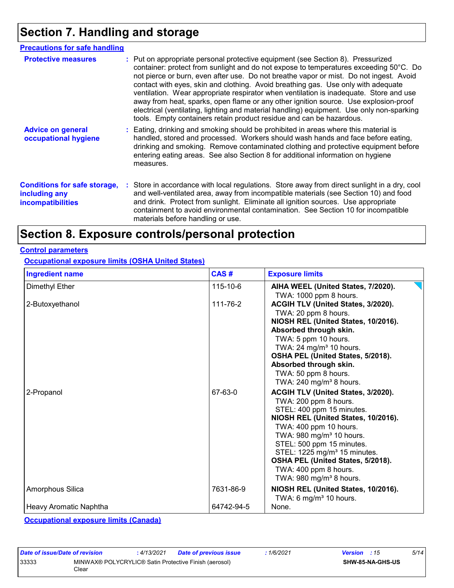## **Section 7. Handling and storage**

| <b>Precautions for safe handling</b>                                             |                                                                                                                                                                                                                                                                                                                                                                                                                                                                                                                                                                                                                                                                                                                |
|----------------------------------------------------------------------------------|----------------------------------------------------------------------------------------------------------------------------------------------------------------------------------------------------------------------------------------------------------------------------------------------------------------------------------------------------------------------------------------------------------------------------------------------------------------------------------------------------------------------------------------------------------------------------------------------------------------------------------------------------------------------------------------------------------------|
| <b>Protective measures</b>                                                       | : Put on appropriate personal protective equipment (see Section 8). Pressurized<br>container: protect from sunlight and do not expose to temperatures exceeding 50°C. Do<br>not pierce or burn, even after use. Do not breathe vapor or mist. Do not ingest. Avoid<br>contact with eyes, skin and clothing. Avoid breathing gas. Use only with adequate<br>ventilation. Wear appropriate respirator when ventilation is inadequate. Store and use<br>away from heat, sparks, open flame or any other ignition source. Use explosion-proof<br>electrical (ventilating, lighting and material handling) equipment. Use only non-sparking<br>tools. Empty containers retain product residue and can be hazardous. |
| <b>Advice on general</b><br>occupational hygiene                                 | : Eating, drinking and smoking should be prohibited in areas where this material is<br>handled, stored and processed. Workers should wash hands and face before eating,<br>drinking and smoking. Remove contaminated clothing and protective equipment before<br>entering eating areas. See also Section 8 for additional information on hygiene<br>measures.                                                                                                                                                                                                                                                                                                                                                  |
| <b>Conditions for safe storage,</b><br>including any<br><b>incompatibilities</b> | : Store in accordance with local regulations. Store away from direct sunlight in a dry, cool<br>and well-ventilated area, away from incompatible materials (see Section 10) and food<br>and drink. Protect from sunlight. Eliminate all ignition sources. Use appropriate<br>containment to avoid environmental contamination. See Section 10 for incompatible<br>materials before handling or use.                                                                                                                                                                                                                                                                                                            |

### **Section 8. Exposure controls/personal protection**

#### **Control parameters**

### **Occupational exposure limits (OSHA United States)**

| <b>Ingredient name</b> | CAS#           | <b>Exposure limits</b>                                                                                                                                                                                                                                                                                                                                                            |
|------------------------|----------------|-----------------------------------------------------------------------------------------------------------------------------------------------------------------------------------------------------------------------------------------------------------------------------------------------------------------------------------------------------------------------------------|
| Dimethyl Ether         | $115 - 10 - 6$ | AIHA WEEL (United States, 7/2020).<br>TWA: 1000 ppm 8 hours.                                                                                                                                                                                                                                                                                                                      |
| 2-Butoxyethanol        | 111-76-2       | ACGIH TLV (United States, 3/2020).<br>TWA: 20 ppm 8 hours.<br>NIOSH REL (United States, 10/2016).<br>Absorbed through skin.<br>TWA: 5 ppm 10 hours.<br>TWA: 24 mg/m <sup>3</sup> 10 hours.<br>OSHA PEL (United States, 5/2018).<br>Absorbed through skin.<br>TWA: 50 ppm 8 hours.<br>TWA: 240 mg/m <sup>3</sup> 8 hours.                                                          |
| 2-Propanol             | 67-63-0        | ACGIH TLV (United States, 3/2020).<br>TWA: 200 ppm 8 hours.<br>STEL: 400 ppm 15 minutes.<br>NIOSH REL (United States, 10/2016).<br>TWA: 400 ppm 10 hours.<br>TWA: 980 mg/m <sup>3</sup> 10 hours.<br>STEL: 500 ppm 15 minutes.<br>STEL: 1225 mg/m <sup>3</sup> 15 minutes.<br>OSHA PEL (United States, 5/2018).<br>TWA: 400 ppm 8 hours.<br>TWA: $980$ mg/m <sup>3</sup> 8 hours. |
| Amorphous Silica       | 7631-86-9      | NIOSH REL (United States, 10/2016).<br>TWA: 6 mg/m <sup>3</sup> 10 hours.                                                                                                                                                                                                                                                                                                         |
| Heavy Aromatic Naphtha | 64742-94-5     | None.                                                                                                                                                                                                                                                                                                                                                                             |

**Occupational exposure limits (Canada)**

| Date of issue/Date of revision |                                                                | : 4/13/2021 | <b>Date of previous issue</b> | : 1/6/2021 | <b>Version</b> : 15 |                         | 5/14 |
|--------------------------------|----------------------------------------------------------------|-------------|-------------------------------|------------|---------------------|-------------------------|------|
| 33333                          | MINWAX® POLYCRYLIC® Satin Protective Finish (aerosol)<br>Clear |             |                               |            |                     | <b>SHW-85-NA-GHS-US</b> |      |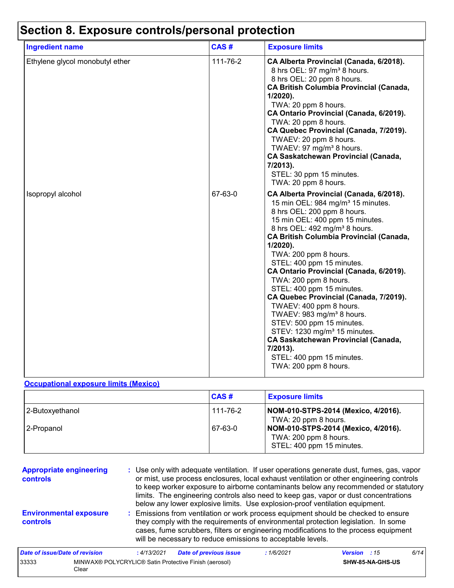|  |  | Section 8. Exposure controls/personal protection |  |  |
|--|--|--------------------------------------------------|--|--|
|--|--|--------------------------------------------------|--|--|

| <b>Ingredient name</b>          | CAS#     | <b>Exposure limits</b>                                                                                                                                                                                                                                                                                                                                                                                                                                                                                                                                                                                                                                                                                                                 |
|---------------------------------|----------|----------------------------------------------------------------------------------------------------------------------------------------------------------------------------------------------------------------------------------------------------------------------------------------------------------------------------------------------------------------------------------------------------------------------------------------------------------------------------------------------------------------------------------------------------------------------------------------------------------------------------------------------------------------------------------------------------------------------------------------|
| Ethylene glycol monobutyl ether | 111-76-2 | CA Alberta Provincial (Canada, 6/2018).<br>8 hrs OEL: 97 mg/m <sup>3</sup> 8 hours.<br>8 hrs OEL: 20 ppm 8 hours.<br><b>CA British Columbia Provincial (Canada,</b><br>1/2020).<br>TWA: 20 ppm 8 hours.<br>CA Ontario Provincial (Canada, 6/2019).<br>TWA: 20 ppm 8 hours.<br>CA Quebec Provincial (Canada, 7/2019).<br>TWAEV: 20 ppm 8 hours.<br>TWAEV: 97 mg/m <sup>3</sup> 8 hours.<br><b>CA Saskatchewan Provincial (Canada,</b><br>7/2013).<br>STEL: 30 ppm 15 minutes.<br>TWA: 20 ppm 8 hours.                                                                                                                                                                                                                                   |
| Isopropyl alcohol               | 67-63-0  | CA Alberta Provincial (Canada, 6/2018).<br>15 min OEL: 984 mg/m <sup>3</sup> 15 minutes.<br>8 hrs OEL: 200 ppm 8 hours.<br>15 min OEL: 400 ppm 15 minutes.<br>8 hrs OEL: 492 mg/m <sup>3</sup> 8 hours.<br><b>CA British Columbia Provincial (Canada,</b><br>$1/2020$ ).<br>TWA: 200 ppm 8 hours.<br>STEL: 400 ppm 15 minutes.<br>CA Ontario Provincial (Canada, 6/2019).<br>TWA: 200 ppm 8 hours.<br>STEL: 400 ppm 15 minutes.<br>CA Quebec Provincial (Canada, 7/2019).<br>TWAEV: 400 ppm 8 hours.<br>TWAEV: 983 mg/m <sup>3</sup> 8 hours.<br>STEV: 500 ppm 15 minutes.<br>STEV: 1230 mg/m <sup>3</sup> 15 minutes.<br><b>CA Saskatchewan Provincial (Canada,</b><br>7/2013).<br>STEL: 400 ppm 15 minutes.<br>TWA: 200 ppm 8 hours. |

#### **Occupational exposure limits (Mexico)**

33333 MINWAX® POLYCRYLIC® Satin Protective Finish (aerosol)

Clear

|                 | CAS#     | <b>Exposure limits</b>                                                                    |
|-----------------|----------|-------------------------------------------------------------------------------------------|
| 2-Butoxyethanol | 111-76-2 | NOM-010-STPS-2014 (Mexico, 4/2016).<br>TWA: 20 ppm 8 hours.                               |
| 2-Propanol      | 67-63-0  | NOM-010-STPS-2014 (Mexico, 4/2016).<br>TWA: 200 ppm 8 hours.<br>STEL: 400 ppm 15 minutes. |

| <b>Appropriate engineering</b><br>controls |            | : Use only with adequate ventilation. If user operations generate dust, fumes, gas, vapor<br>or mist, use process enclosures, local exhaust ventilation or other engineering controls<br>to keep worker exposure to airborne contaminants below any recommended or statutory<br>limits. The engineering controls also need to keep gas, vapor or dust concentrations<br>below any lower explosive limits. Use explosion-proof ventilation equipment. |           |                     |      |
|--------------------------------------------|------------|------------------------------------------------------------------------------------------------------------------------------------------------------------------------------------------------------------------------------------------------------------------------------------------------------------------------------------------------------------------------------------------------------------------------------------------------------|-----------|---------------------|------|
| <b>Environmental exposure</b><br>controls  |            | : Emissions from ventilation or work process equipment should be checked to ensure<br>they comply with the requirements of environmental protection legislation. In some<br>cases, fume scrubbers, filters or engineering modifications to the process equipment<br>will be necessary to reduce emissions to acceptable levels.                                                                                                                      |           |                     |      |
| Date of issue/Date of revision             | :4/13/2021 | <b>Date of previous issue</b>                                                                                                                                                                                                                                                                                                                                                                                                                        | :1/6/2021 | <b>Version</b> : 15 | 6/14 |

**SHW-85-NA-GHS-US**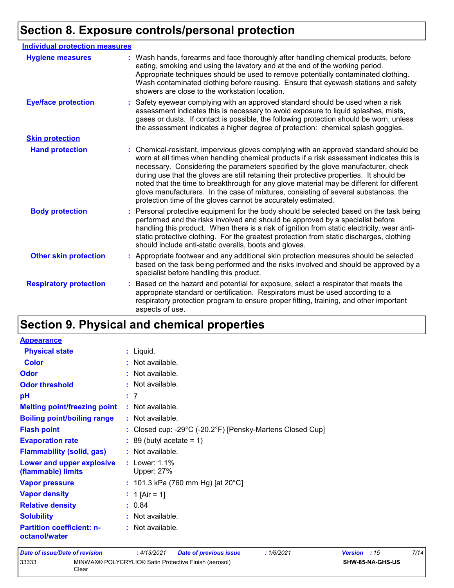# **Section 8. Exposure controls/personal protection**

| <b>Individual protection measures</b> |                                                                                                                                                                                                                                                                                                                                                                                                                                                                                                                                                                                                                        |
|---------------------------------------|------------------------------------------------------------------------------------------------------------------------------------------------------------------------------------------------------------------------------------------------------------------------------------------------------------------------------------------------------------------------------------------------------------------------------------------------------------------------------------------------------------------------------------------------------------------------------------------------------------------------|
| <b>Hygiene measures</b>               | : Wash hands, forearms and face thoroughly after handling chemical products, before<br>eating, smoking and using the lavatory and at the end of the working period.<br>Appropriate techniques should be used to remove potentially contaminated clothing.<br>Wash contaminated clothing before reusing. Ensure that eyewash stations and safety<br>showers are close to the workstation location.                                                                                                                                                                                                                      |
| <b>Eye/face protection</b>            | Safety eyewear complying with an approved standard should be used when a risk<br>assessment indicates this is necessary to avoid exposure to liquid splashes, mists,<br>gases or dusts. If contact is possible, the following protection should be worn, unless<br>the assessment indicates a higher degree of protection: chemical splash goggles.                                                                                                                                                                                                                                                                    |
| <b>Skin protection</b>                |                                                                                                                                                                                                                                                                                                                                                                                                                                                                                                                                                                                                                        |
| <b>Hand protection</b>                | : Chemical-resistant, impervious gloves complying with an approved standard should be<br>worn at all times when handling chemical products if a risk assessment indicates this is<br>necessary. Considering the parameters specified by the glove manufacturer, check<br>during use that the gloves are still retaining their protective properties. It should be<br>noted that the time to breakthrough for any glove material may be different for different<br>glove manufacturers. In the case of mixtures, consisting of several substances, the<br>protection time of the gloves cannot be accurately estimated. |
| <b>Body protection</b>                | : Personal protective equipment for the body should be selected based on the task being<br>performed and the risks involved and should be approved by a specialist before<br>handling this product. When there is a risk of ignition from static electricity, wear anti-<br>static protective clothing. For the greatest protection from static discharges, clothing<br>should include anti-static overalls, boots and gloves.                                                                                                                                                                                         |
| <b>Other skin protection</b>          | : Appropriate footwear and any additional skin protection measures should be selected<br>based on the task being performed and the risks involved and should be approved by a<br>specialist before handling this product.                                                                                                                                                                                                                                                                                                                                                                                              |
| <b>Respiratory protection</b>         | : Based on the hazard and potential for exposure, select a respirator that meets the<br>appropriate standard or certification. Respirators must be used according to a<br>respiratory protection program to ensure proper fitting, training, and other important<br>aspects of use.                                                                                                                                                                                                                                                                                                                                    |

### **Section 9. Physical and chemical properties**

| <b>Appearance</b>                                 |                                                                                 |
|---------------------------------------------------|---------------------------------------------------------------------------------|
| <b>Physical state</b>                             | $:$ Liquid.                                                                     |
| <b>Color</b>                                      | $:$ Not available.                                                              |
| Odor                                              | $:$ Not available.                                                              |
| <b>Odor threshold</b>                             | : Not available.                                                                |
| рH                                                | : 7                                                                             |
| <b>Melting point/freezing point</b>               | $:$ Not available.                                                              |
| <b>Boiling point/boiling range</b>                | : Not available.                                                                |
| <b>Flash point</b>                                | : Closed cup: -29 $^{\circ}$ C (-20.2 $^{\circ}$ F) [Pensky-Martens Closed Cup] |
| <b>Evaporation rate</b>                           | $: 89$ (butyl acetate = 1)                                                      |
| <b>Flammability (solid, gas)</b>                  | $:$ Not available.                                                              |
| Lower and upper explosive<br>(flammable) limits   | : Lower: $1.1\%$<br><b>Upper: 27%</b>                                           |
| <b>Vapor pressure</b>                             | : 101.3 kPa (760 mm Hg) [at 20 $^{\circ}$ C]                                    |
| <b>Vapor density</b>                              | : 1 [Air = 1]                                                                   |
| <b>Relative density</b>                           | : 0.84                                                                          |
| <b>Solubility</b>                                 | $:$ Not available.                                                              |
| <b>Partition coefficient: n-</b><br>octanol/water | : Not available.                                                                |

#### *Date of issue/Date of revision* **:** *4/13/2021 Date of previous issue : 1/6/2021 Version : 15 7/14* 33333 MINWAX® POLYCRYLIC® Satin Protective Finish (aerosol) Clear **SHW-85-NA-GHS-US**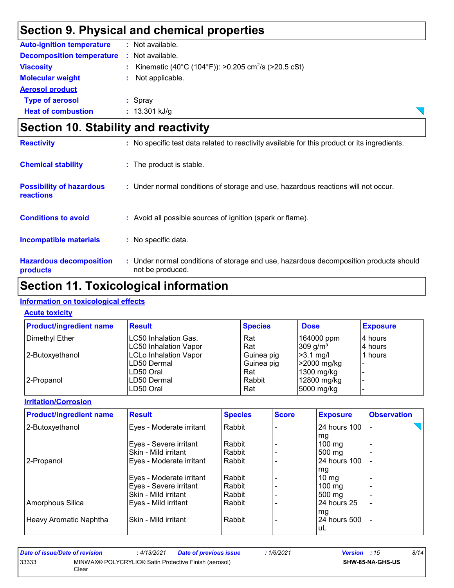### **Section 9. Physical and chemical properties**

| <b>Auto-ignition temperature</b> |    | $:$ Not available.                                              |
|----------------------------------|----|-----------------------------------------------------------------|
| <b>Decomposition temperature</b> |    | : Not available.                                                |
| <b>Viscosity</b>                 | t. | Kinematic (40°C (104°F)): >0.205 cm <sup>2</sup> /s (>20.5 cSt) |
| <b>Molecular weight</b>          | ÷. | Not applicable.                                                 |
| <b>Aerosol product</b>           |    |                                                                 |
| <b>Type of aerosol</b>           |    | $:$ Spray                                                       |
| <b>Heat of combustion</b>        |    | $: 13.301$ kJ/g                                                 |

| <b>Section 10. Stability and reactivity</b>  |                                                                                                           |  |
|----------------------------------------------|-----------------------------------------------------------------------------------------------------------|--|
| <b>Reactivity</b>                            | : No specific test data related to reactivity available for this product or its ingredients.              |  |
| <b>Chemical stability</b>                    | : The product is stable.                                                                                  |  |
| <b>Possibility of hazardous</b><br>reactions | : Under normal conditions of storage and use, hazardous reactions will not occur.                         |  |
| <b>Conditions to avoid</b>                   | : Avoid all possible sources of ignition (spark or flame).                                                |  |
| <b>Incompatible materials</b>                | : No specific data.                                                                                       |  |
| <b>Hazardous decomposition</b><br>products   | : Under normal conditions of storage and use, hazardous decomposition products should<br>not be produced. |  |

 $\overline{\phantom{0}}$ 

### **Section 11. Toxicological information**

#### **Information on toxicological effects**

#### **Acute toxicity**

| <b>Product/ingredient name</b> | <b>Result</b>                | <b>Species</b> | <b>Dose</b>            | <b>Exposure</b> |
|--------------------------------|------------------------------|----------------|------------------------|-----------------|
| Dimethyl Ether                 | LC50 Inhalation Gas.         | Rat            | 164000 ppm             | 14 hours        |
|                                | LC50 Inhalation Vapor        | Rat            | $309$ g/m <sup>3</sup> | 4 hours         |
| 2-Butoxyethanol                | <b>LCLo Inhalation Vapor</b> | Guinea pig     | $ >3.1$ mg/l           | 1 hours         |
|                                | LD50 Dermal                  | Guinea pig     | $\geq$ 2000 mg/kg      |                 |
|                                | ILD50 Oral                   | Rat            | 1300 mg/kg             |                 |
| l 2-Propanol                   | LD50 Dermal                  | Rabbit         | 12800 mg/kg            |                 |
|                                | ILD50 Oral                   | Rat            | 5000 mg/kg             |                 |

#### **Irritation/Corrosion**

| <b>Product/ingredient name</b> | <b>Result</b>            | <b>Species</b> | <b>Score</b> | <b>Exposure</b>  | <b>Observation</b>       |
|--------------------------------|--------------------------|----------------|--------------|------------------|--------------------------|
| 2-Butoxyethanol                | Eyes - Moderate irritant | Rabbit         |              | l 24 hours 100   |                          |
|                                |                          |                |              | mg               |                          |
|                                | Eyes - Severe irritant   | Rabbit         |              | $100 \text{ mg}$ |                          |
|                                | Skin - Mild irritant     | Rabbit         |              | 500 mg           |                          |
| 2-Propanol                     | Eyes - Moderate irritant | Rabbit         |              | 24 hours 100     |                          |
|                                |                          |                |              | mg               |                          |
|                                | Eyes - Moderate irritant | Rabbit         |              | $10 \text{ mg}$  |                          |
|                                | Eyes - Severe irritant   | Rabbit         |              | $100 \text{ mg}$ | $\overline{\phantom{a}}$ |
|                                | Skin - Mild irritant     | Rabbit         |              | $500 \text{ mg}$ |                          |
| Amorphous Silica               | Eyes - Mild irritant     | Rabbit         |              | l 24 hours 25    | ٠                        |
|                                |                          |                |              | mg               |                          |
| Heavy Aromatic Naphtha         | Skin - Mild irritant     | Rabbit         |              | 24 hours 500     | $\overline{\phantom{a}}$ |
|                                |                          |                |              | uL               |                          |

| Date of issue/Date of revision |                                                                | : 4/13/2021 | <b>Date of previous issue</b> | : 1/6/2021 | <b>Version</b> : 15 |                         | 8/14 |
|--------------------------------|----------------------------------------------------------------|-------------|-------------------------------|------------|---------------------|-------------------------|------|
| 33333                          | MINWAX® POLYCRYLIC® Satin Protective Finish (aerosol)<br>Clear |             |                               |            |                     | <b>SHW-85-NA-GHS-US</b> |      |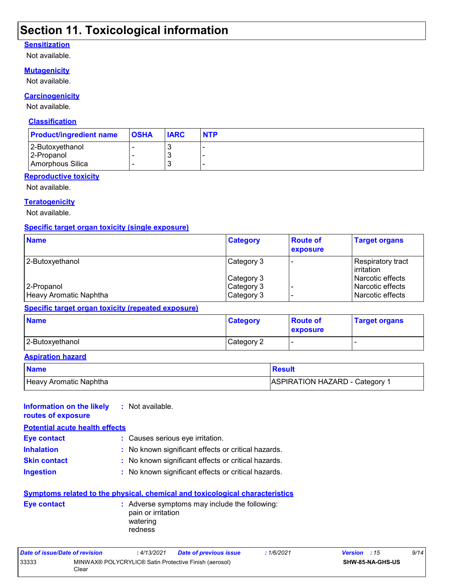### **Section 11. Toxicological information**

#### **Sensitization**

Not available.

#### **Mutagenicity**

Not available.

#### **Carcinogenicity**

Not available.

#### **Classification**

| <b>Product/ingredient name</b>                    | <b>OSHA</b> | <b>IARC</b> | <b>NTP</b> |
|---------------------------------------------------|-------------|-------------|------------|
| 2-Butoxyethanol<br>2-Propanol<br>Amorphous Silica |             | w<br>w<br>w |            |

#### **Reproductive toxicity**

Not available.

#### **Teratogenicity**

Not available.

#### **Specific target organ toxicity (single exposure)**

| <b>Name</b>            | <b>Category</b> | <b>Route of</b><br>exposure | <b>Target organs</b>                     |
|------------------------|-----------------|-----------------------------|------------------------------------------|
| 2-Butoxyethanol        | Category 3      |                             | Respiratory tract<br><b>l</b> irritation |
|                        | Category 3      |                             | l Narcotic effects                       |
| 2-Propanol             | Category 3      |                             | Narcotic effects                         |
| Heavy Aromatic Naphtha | Category 3      |                             | l Narcotic effects                       |

#### **Specific target organ toxicity (repeated exposure)**

| <b>Name</b>     | <b>Category</b> | <b>Route of</b><br>exposure | <b>Target organs</b> |
|-----------------|-----------------|-----------------------------|----------------------|
| 2-Butoxyethanol | Category 2      |                             |                      |

#### **Aspiration hazard**

| <b>Name</b>            | Result                                |
|------------------------|---------------------------------------|
| Heavy Aromatic Naphtha | <b>ASPIRATION HAZARD - Category 1</b> |

| Information on the likely<br>routes of exposure | : Not available.                                                                                                                                                                  |
|-------------------------------------------------|-----------------------------------------------------------------------------------------------------------------------------------------------------------------------------------|
| <b>Potential acute health effects</b>           |                                                                                                                                                                                   |
| Eye contact                                     | : Causes serious eye irritation.                                                                                                                                                  |
| <b>Inhalation</b>                               | : No known significant effects or critical hazards.                                                                                                                               |
| <b>Skin contact</b>                             | : No known significant effects or critical hazards.                                                                                                                               |
| <b>Ingestion</b>                                | : No known significant effects or critical hazards.                                                                                                                               |
| Eye contact                                     | <b>Symptoms related to the physical, chemical and toxicological characteristics</b><br>: Adverse symptoms may include the following:<br>pain or irritation<br>watering<br>redness |

| Date of issue/Date of revision |                                                                | : 4/13/2021 | <b>Date of previous issue</b> | : 1/6/2021              | <b>Version</b> : 15 |  | 9/14 |
|--------------------------------|----------------------------------------------------------------|-------------|-------------------------------|-------------------------|---------------------|--|------|
| 33333                          | MINWAX® POLYCRYLIC® Satin Protective Finish (aerosol)<br>Clear |             |                               | <b>SHW-85-NA-GHS-US</b> |                     |  |      |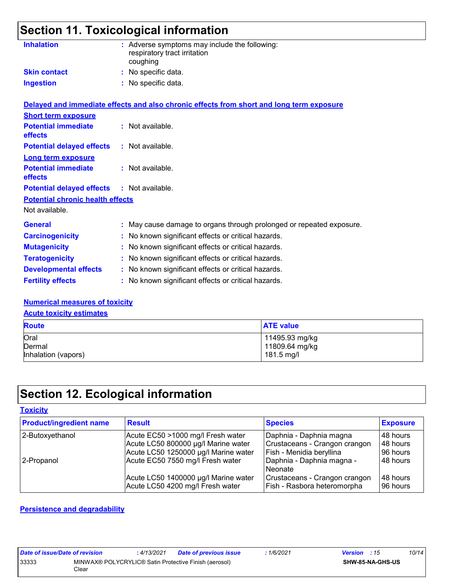# **Section 11. Toxicological information**

| <b>Inhalation</b>                                        | : Adverse symptoms may include the following:<br>respiratory tract irritation<br>coughing                    |
|----------------------------------------------------------|--------------------------------------------------------------------------------------------------------------|
| <b>Skin contact</b>                                      | : No specific data.                                                                                          |
| <b>Ingestion</b>                                         | : No specific data.                                                                                          |
| <b>Short term exposure</b><br><b>Potential immediate</b> | Delayed and immediate effects and also chronic effects from short and long term exposure<br>: Not available. |
| <b>effects</b>                                           |                                                                                                              |
| <b>Potential delayed effects</b>                         | : Not available.                                                                                             |
| Long term exposure<br><b>Potential immediate</b>         | : Not available.                                                                                             |
| <b>effects</b>                                           |                                                                                                              |

#### **Potential delayed effects :** Not available.

### **Potential chronic health effects**

Not available.

| <b>General</b>               | : May cause damage to organs through prolonged or repeated exposure. |
|------------------------------|----------------------------------------------------------------------|
| <b>Carcinogenicity</b>       | : No known significant effects or critical hazards.                  |
| <b>Mutagenicity</b>          | : No known significant effects or critical hazards.                  |
| <b>Teratogenicity</b>        | : No known significant effects or critical hazards.                  |
| <b>Developmental effects</b> | : No known significant effects or critical hazards.                  |
| <b>Fertility effects</b>     | : No known significant effects or critical hazards.                  |

#### **Numerical measures of toxicity**

#### **Acute toxicity estimates**

| <b>Route</b>        | <b>ATE value</b> |  |
|---------------------|------------------|--|
| Oral                | 11495.93 mg/kg   |  |
| Dermal              | 11809.64 mg/kg   |  |
| Inhalation (vapors) | 181.5 mg/l       |  |

### **Section 12. Ecological information**

#### **Toxicity**

| <b>Product/ingredient name</b> | <b>Result</b>                                                            | <b>Species</b>                                               | <b>Exposure</b>       |
|--------------------------------|--------------------------------------------------------------------------|--------------------------------------------------------------|-----------------------|
| 2-Butoxyethanol                | Acute EC50 >1000 mg/l Fresh water                                        | Daphnia - Daphnia magna                                      | l 48 hours            |
|                                | Acute LC50 800000 µg/l Marine water                                      | Crustaceans - Crangon crangon                                | 48 hours              |
|                                | Acute LC50 1250000 µg/l Marine water                                     | Fish - Menidia beryllina                                     | 96 hours              |
| 2-Propanol                     | Acute EC50 7550 mg/l Fresh water                                         | Daphnia - Daphnia magna -<br>l Neonate                       | 48 hours              |
|                                | Acute LC50 1400000 µg/l Marine water<br>Acute LC50 4200 mg/l Fresh water | Crustaceans - Crangon crangon<br>Fish - Rasbora heteromorpha | 148 hours<br>96 hours |

#### **Persistence and degradability**

| Date of issue/Date of revision |                                                                | : 4/13/2021 | <b>Date of previous issue</b> | 1/6/2021 | <b>Version</b> : 15 |                  | 10/14 |
|--------------------------------|----------------------------------------------------------------|-------------|-------------------------------|----------|---------------------|------------------|-------|
| 33333                          | MINWAX® POLYCRYLIC® Satin Protective Finish (aerosol)<br>Clear |             |                               |          |                     | SHW-85-NA-GHS-US |       |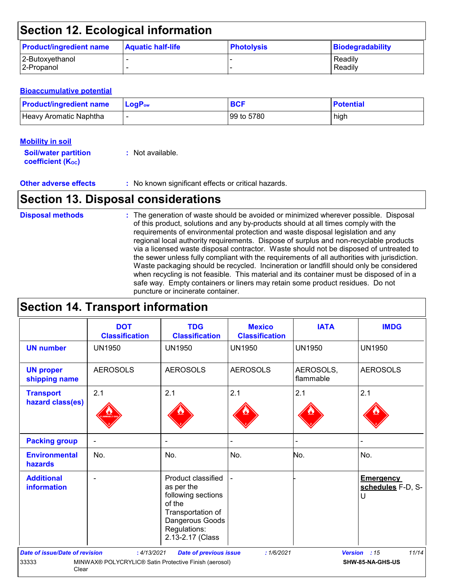### **Section 12. Ecological information**

| <b>Product/ingredient name</b> | <b>Aquatic half-life</b> | <b>Photolysis</b> | Biodegradability |
|--------------------------------|--------------------------|-------------------|------------------|
| 2-Butoxyethanol                |                          |                   | Readily          |
| 2-Propanol                     |                          |                   | Readily          |

#### **Bioaccumulative potential**

| <b>Product/ingredient name</b> | $\blacksquare$ LogP <sub>ow</sub> | <b>BCF</b> | <b>Potential</b> |
|--------------------------------|-----------------------------------|------------|------------------|
| Heavy Aromatic Naphtha         |                                   | 99 to 5780 | high             |

| <b>Mobility in soil</b>     |  |
|-----------------------------|--|
| <b>Soil/water partition</b> |  |

**coefficient (K**<sub>oc</sub>)

|  |  | Not available. |  |
|--|--|----------------|--|
|--|--|----------------|--|

**Other adverse effects** : No known significant effects or critical hazards.

### **Section 13. Disposal considerations**

#### The generation of waste should be avoided or minimized wherever possible. Disposal of this product, solutions and any by-products should at all times comply with the requirements of environmental protection and waste disposal legislation and any regional local authority requirements. Dispose of surplus and non-recyclable products via a licensed waste disposal contractor. Waste should not be disposed of untreated to the sewer unless fully compliant with the requirements of all authorities with jurisdiction. Waste packaging should be recycled. Incineration or landfill should only be considered when recycling is not feasible. This material and its container must be disposed of in a safe way. Empty containers or liners may retain some product residues. Do not puncture or incinerate container. **Disposal methods :**

### **Section 14. Transport information**

|                                                                                             | <b>DOT</b><br><b>Classification</b> | <b>TDG</b><br><b>Classification</b>                                                                                                          | <b>Mexico</b><br><b>Classification</b> | <b>IATA</b>            | <b>IMDG</b>                                |  |  |
|---------------------------------------------------------------------------------------------|-------------------------------------|----------------------------------------------------------------------------------------------------------------------------------------------|----------------------------------------|------------------------|--------------------------------------------|--|--|
| <b>UN number</b>                                                                            | <b>UN1950</b>                       | <b>UN1950</b>                                                                                                                                | <b>UN1950</b>                          | <b>UN1950</b>          | <b>UN1950</b>                              |  |  |
| <b>UN proper</b><br>shipping name                                                           | <b>AEROSOLS</b>                     | <b>AEROSOLS</b>                                                                                                                              | <b>AEROSOLS</b>                        | AEROSOLS,<br>flammable | <b>AEROSOLS</b>                            |  |  |
| <b>Transport</b><br>hazard class(es)                                                        | 2.1                                 | 2.1                                                                                                                                          | 2.1                                    | 2.1                    | 2.1                                        |  |  |
| <b>Packing group</b>                                                                        |                                     | $\overline{\phantom{a}}$                                                                                                                     |                                        |                        |                                            |  |  |
| <b>Environmental</b><br>hazards                                                             | No.                                 | No.                                                                                                                                          | No.                                    | No.                    | No.                                        |  |  |
| <b>Additional</b><br><b>information</b>                                                     |                                     | Product classified<br>as per the<br>following sections<br>of the<br>Transportation of<br>Dangerous Goods<br>Regulations:<br>2.13-2.17 (Class |                                        |                        | <b>Emergency</b><br>schedules F-D, S-<br>U |  |  |
| <b>Date of issue/Date of revision</b>                                                       | : 4/13/2021                         | <b>Date of previous issue</b>                                                                                                                | :1/6/2021                              |                        | 11/14<br>Version : 15                      |  |  |
| 33333<br>MINWAX® POLYCRYLIC® Satin Protective Finish (aerosol)<br>SHW-85-NA-GHS-US<br>Clear |                                     |                                                                                                                                              |                                        |                        |                                            |  |  |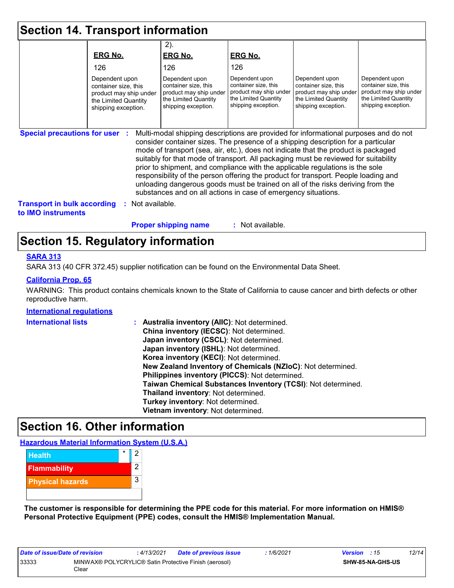| <b>Section 14. Transport information</b>                 |                                                                                                                 |                                                                                                                                                                                                                                                                                                                                                                                                                                                                                                                                                                                                                                                                                     |                                                                                                                 |                                                                                                                 |                                                                                                                 |
|----------------------------------------------------------|-----------------------------------------------------------------------------------------------------------------|-------------------------------------------------------------------------------------------------------------------------------------------------------------------------------------------------------------------------------------------------------------------------------------------------------------------------------------------------------------------------------------------------------------------------------------------------------------------------------------------------------------------------------------------------------------------------------------------------------------------------------------------------------------------------------------|-----------------------------------------------------------------------------------------------------------------|-----------------------------------------------------------------------------------------------------------------|-----------------------------------------------------------------------------------------------------------------|
|                                                          | <b>ERG No.</b>                                                                                                  | $2)$ .<br><b>ERG No.</b>                                                                                                                                                                                                                                                                                                                                                                                                                                                                                                                                                                                                                                                            | <b>ERG No.</b>                                                                                                  |                                                                                                                 |                                                                                                                 |
|                                                          | 126                                                                                                             | 126                                                                                                                                                                                                                                                                                                                                                                                                                                                                                                                                                                                                                                                                                 | 126                                                                                                             |                                                                                                                 |                                                                                                                 |
|                                                          | Dependent upon<br>container size, this<br>product may ship under<br>the Limited Quantity<br>shipping exception. | Dependent upon<br>container size, this<br>product may ship under<br>the Limited Quantity<br>shipping exception.                                                                                                                                                                                                                                                                                                                                                                                                                                                                                                                                                                     | Dependent upon<br>container size, this<br>product may ship under<br>the Limited Quantity<br>shipping exception. | Dependent upon<br>container size, this<br>product may ship under<br>the Limited Quantity<br>shipping exception. | Dependent upon<br>container size, this<br>product may ship under<br>the Limited Quantity<br>shipping exception. |
| <b>Special precautions for user :</b>                    |                                                                                                                 | Multi-modal shipping descriptions are provided for informational purposes and do not<br>consider container sizes. The presence of a shipping description for a particular<br>mode of transport (sea, air, etc.), does not indicate that the product is packaged<br>suitably for that mode of transport. All packaging must be reviewed for suitability<br>prior to shipment, and compliance with the applicable regulations is the sole<br>responsibility of the person offering the product for transport. People loading and<br>unloading dangerous goods must be trained on all of the risks deriving from the<br>substances and on all actions in case of emergency situations. |                                                                                                                 |                                                                                                                 |                                                                                                                 |
| <b>Transport in bulk according</b><br>to IMO instruments | Not available.                                                                                                  |                                                                                                                                                                                                                                                                                                                                                                                                                                                                                                                                                                                                                                                                                     |                                                                                                                 |                                                                                                                 |                                                                                                                 |
|                                                          |                                                                                                                 | <b>Proper shipping name</b>                                                                                                                                                                                                                                                                                                                                                                                                                                                                                                                                                                                                                                                         | $:$ Not available.                                                                                              |                                                                                                                 |                                                                                                                 |

### **Section 15. Regulatory information**

#### **SARA 313**

SARA 313 (40 CFR 372.45) supplier notification can be found on the Environmental Data Sheet.

#### **California Prop. 65**

WARNING: This product contains chemicals known to the State of California to cause cancer and birth defects or other reproductive harm.

#### **International regulations**

| <b>International lists</b> | : Australia inventory (AIIC): Not determined.                |
|----------------------------|--------------------------------------------------------------|
|                            | China inventory (IECSC): Not determined.                     |
|                            | Japan inventory (CSCL): Not determined.                      |
|                            | Japan inventory (ISHL): Not determined.                      |
|                            | Korea inventory (KECI): Not determined.                      |
|                            | New Zealand Inventory of Chemicals (NZIoC): Not determined.  |
|                            | Philippines inventory (PICCS): Not determined.               |
|                            | Taiwan Chemical Substances Inventory (TCSI): Not determined. |
|                            | Thailand inventory: Not determined.                          |
|                            | Turkey inventory: Not determined.                            |
|                            | Vietnam inventory: Not determined.                           |

### **Section 16. Other information**

**Hazardous Material Information System (U.S.A.)**



**The customer is responsible for determining the PPE code for this material. For more information on HMIS® Personal Protective Equipment (PPE) codes, consult the HMIS® Implementation Manual.**

| Date of issue/Date of revision |                                                                | : 4/13/2021 | <b>Date of previous issue</b> | 1/6/2021 | <b>Version</b> : 15 |                         | 12/14 |
|--------------------------------|----------------------------------------------------------------|-------------|-------------------------------|----------|---------------------|-------------------------|-------|
| 33333                          | MINWAX® POLYCRYLIC® Satin Protective Finish (aerosol)<br>Clear |             |                               |          |                     | <b>SHW-85-NA-GHS-US</b> |       |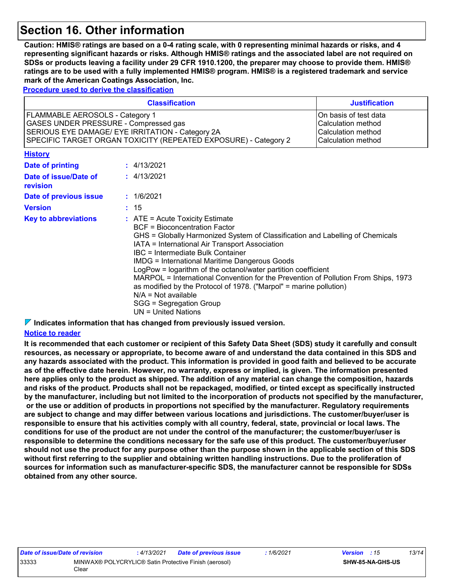### **Section 16. Other information**

**Caution: HMIS® ratings are based on a 0-4 rating scale, with 0 representing minimal hazards or risks, and 4 representing significant hazards or risks. Although HMIS® ratings and the associated label are not required on SDSs or products leaving a facility under 29 CFR 1910.1200, the preparer may choose to provide them. HMIS® ratings are to be used with a fully implemented HMIS® program. HMIS® is a registered trademark and service mark of the American Coatings Association, Inc.**

**Procedure used to derive the classification**

| <b>Classification</b><br><b>Justification</b>                                                                                                                                                                                                                                              |  |                                                                                                                                                                                                                                                                                                                                                                                                                                                                                                                                                                                                                     |  |  |  |  |
|--------------------------------------------------------------------------------------------------------------------------------------------------------------------------------------------------------------------------------------------------------------------------------------------|--|---------------------------------------------------------------------------------------------------------------------------------------------------------------------------------------------------------------------------------------------------------------------------------------------------------------------------------------------------------------------------------------------------------------------------------------------------------------------------------------------------------------------------------------------------------------------------------------------------------------------|--|--|--|--|
| FLAMMABLE AEROSOLS - Category 1<br>On basis of test data<br>GASES UNDER PRESSURE - Compressed gas<br>Calculation method<br>SERIOUS EYE DAMAGE/ EYE IRRITATION - Category 2A<br>Calculation method<br>SPECIFIC TARGET ORGAN TOXICITY (REPEATED EXPOSURE) - Category 2<br>Calculation method |  |                                                                                                                                                                                                                                                                                                                                                                                                                                                                                                                                                                                                                     |  |  |  |  |
| <b>History</b>                                                                                                                                                                                                                                                                             |  |                                                                                                                                                                                                                                                                                                                                                                                                                                                                                                                                                                                                                     |  |  |  |  |
| Date of printing                                                                                                                                                                                                                                                                           |  | : 4/13/2021                                                                                                                                                                                                                                                                                                                                                                                                                                                                                                                                                                                                         |  |  |  |  |
| Date of issue/Date of<br>revision                                                                                                                                                                                                                                                          |  | : 4/13/2021                                                                                                                                                                                                                                                                                                                                                                                                                                                                                                                                                                                                         |  |  |  |  |
| Date of previous issue                                                                                                                                                                                                                                                                     |  | : 1/6/2021                                                                                                                                                                                                                                                                                                                                                                                                                                                                                                                                                                                                          |  |  |  |  |
| <b>Version</b>                                                                                                                                                                                                                                                                             |  | : 15                                                                                                                                                                                                                                                                                                                                                                                                                                                                                                                                                                                                                |  |  |  |  |
| <b>Key to abbreviations</b>                                                                                                                                                                                                                                                                |  | $:$ ATE = Acute Toxicity Estimate<br>BCF = Bioconcentration Factor<br>GHS = Globally Harmonized System of Classification and Labelling of Chemicals<br>IATA = International Air Transport Association<br><b>IBC</b> = Intermediate Bulk Container<br><b>IMDG = International Maritime Dangerous Goods</b><br>LogPow = logarithm of the octanol/water partition coefficient<br>MARPOL = International Convention for the Prevention of Pollution From Ships, 1973<br>as modified by the Protocol of 1978. ("Marpol" = marine pollution)<br>$N/A = Not available$<br>SGG = Segregation Group<br>$UN = United Nations$ |  |  |  |  |

**Indicates information that has changed from previously issued version.**

#### **Notice to reader**

**It is recommended that each customer or recipient of this Safety Data Sheet (SDS) study it carefully and consult resources, as necessary or appropriate, to become aware of and understand the data contained in this SDS and any hazards associated with the product. This information is provided in good faith and believed to be accurate as of the effective date herein. However, no warranty, express or implied, is given. The information presented here applies only to the product as shipped. The addition of any material can change the composition, hazards and risks of the product. Products shall not be repackaged, modified, or tinted except as specifically instructed by the manufacturer, including but not limited to the incorporation of products not specified by the manufacturer, or the use or addition of products in proportions not specified by the manufacturer. Regulatory requirements are subject to change and may differ between various locations and jurisdictions. The customer/buyer/user is responsible to ensure that his activities comply with all country, federal, state, provincial or local laws. The conditions for use of the product are not under the control of the manufacturer; the customer/buyer/user is responsible to determine the conditions necessary for the safe use of this product. The customer/buyer/user should not use the product for any purpose other than the purpose shown in the applicable section of this SDS without first referring to the supplier and obtaining written handling instructions. Due to the proliferation of sources for information such as manufacturer-specific SDS, the manufacturer cannot be responsible for SDSs obtained from any other source.**